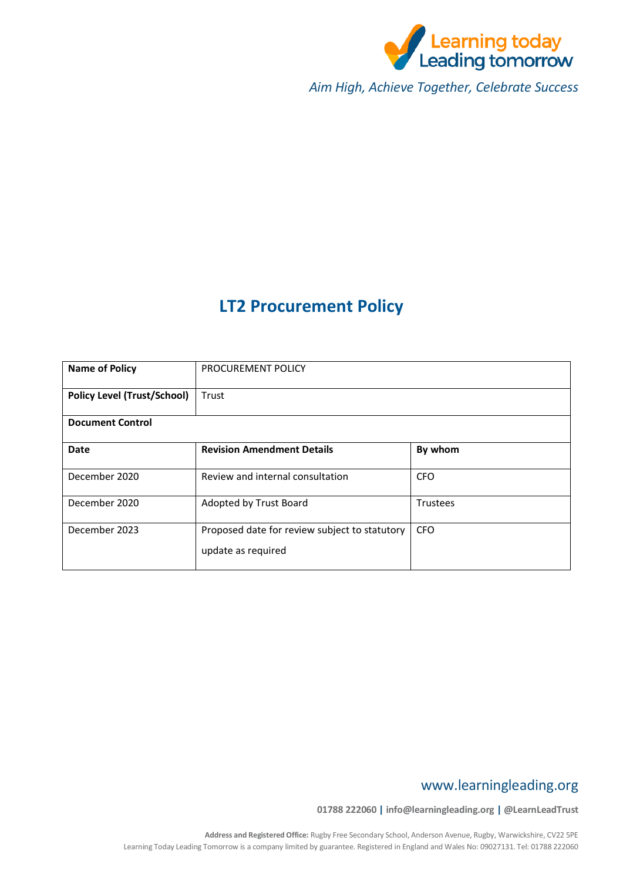

*Aim High, Achieve Together, Celebrate Success*

# **LT2 Procurement Policy**

| <b>Name of Policy</b>              | <b>PROCUREMENT POLICY</b>                                           |                 |  |  |  |  |  |  |
|------------------------------------|---------------------------------------------------------------------|-----------------|--|--|--|--|--|--|
| <b>Policy Level (Trust/School)</b> | Trust                                                               |                 |  |  |  |  |  |  |
| <b>Document Control</b>            |                                                                     |                 |  |  |  |  |  |  |
| <b>Date</b>                        | <b>Revision Amendment Details</b>                                   | By whom         |  |  |  |  |  |  |
| December 2020                      | Review and internal consultation                                    | <b>CFO</b>      |  |  |  |  |  |  |
| December 2020                      | Adopted by Trust Board                                              | <b>Trustees</b> |  |  |  |  |  |  |
| December 2023                      | Proposed date for review subject to statutory<br>update as required | <b>CFO</b>      |  |  |  |  |  |  |

## www.learningleading.org

**01788 222060 | info@learningleading.org | @LearnLeadTrust**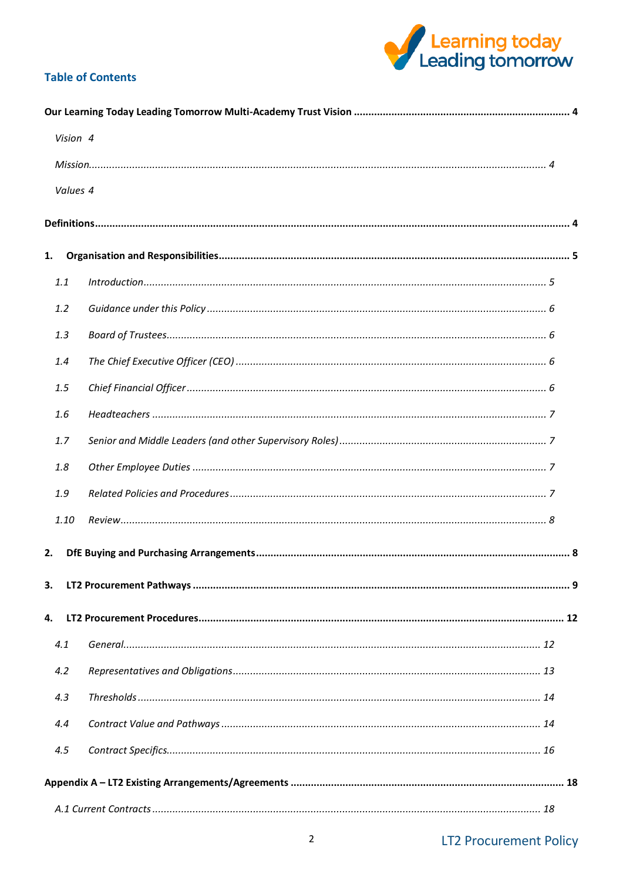

## **Table of Contents**

| Vision 4 |  |
|----------|--|
|          |  |
| Values 4 |  |
|          |  |
|          |  |
| 1.       |  |
| 1.1      |  |
| 1.2      |  |
| 1.3      |  |
| 1.4      |  |
| 1.5      |  |
| 1.6      |  |
| 1.7      |  |
| 1.8      |  |
| 1.9      |  |
| 1.10     |  |
| 2.       |  |
| 3.       |  |
|          |  |
| 4.       |  |
| 4.1      |  |
| 4.2      |  |
| 4.3      |  |
| 4.4      |  |
| 4.5      |  |
|          |  |
|          |  |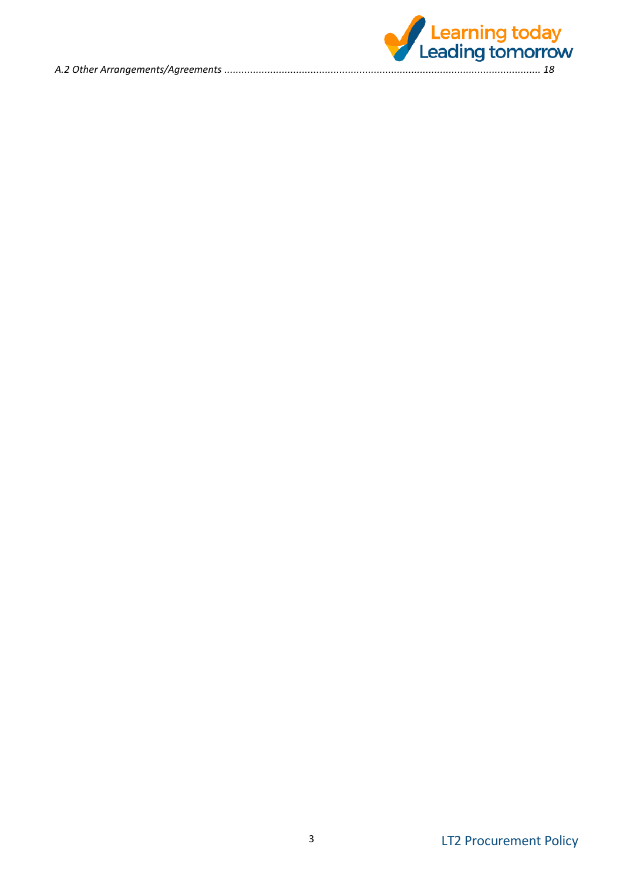

LT2 Procurement Policy 3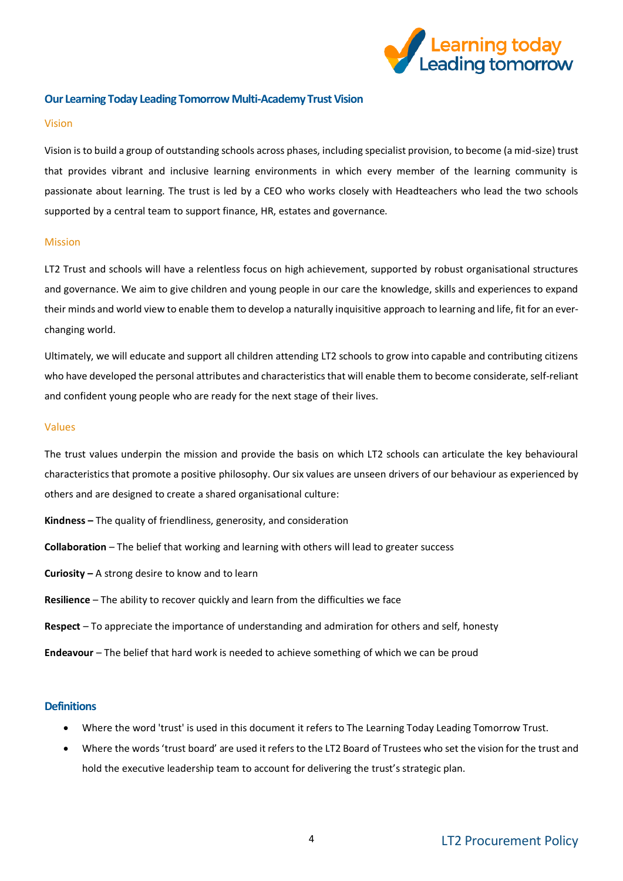

#### <span id="page-3-0"></span>**Our Learning Today Leading Tomorrow Multi-Academy Trust Vision**

#### <span id="page-3-1"></span>Vision

Vision is to build a group of outstanding schools across phases, including specialist provision, to become (a mid-size) trust that provides vibrant and inclusive learning environments in which every member of the learning community is passionate about learning. The trust is led by a CEO who works closely with Headteachers who lead the two schools supported by a central team to support finance, HR, estates and governance.

#### <span id="page-3-2"></span>Mission

LT2 Trust and schools will have a relentless focus on high achievement, supported by robust organisational structures and governance. We aim to give children and young people in our care the knowledge, skills and experiences to expand their minds and world view to enable them to develop a naturally inquisitive approach to learning and life, fit for an everchanging world.

Ultimately, we will educate and support all children attending LT2 schools to grow into capable and contributing citizens who have developed the personal attributes and characteristics that will enable them to become considerate, self-reliant and confident young people who are ready for the next stage of their lives.

#### <span id="page-3-3"></span>Values

The trust values underpin the mission and provide the basis on which LT2 schools can articulate the key behavioural characteristics that promote a positive philosophy. Our six values are unseen drivers of our behaviour as experienced by others and are designed to create a shared organisational culture:

- **Kindness –** The quality of friendliness, generosity, and consideration
- **Collaboration** The belief that working and learning with others will lead to greater success
- **Curiosity –** A strong desire to know and to learn
- **Resilience** The ability to recover quickly and learn from the difficulties we face
- **Respect** To appreciate the importance of understanding and admiration for others and self, honesty
- **Endeavour** The belief that hard work is needed to achieve something of which we can be proud

#### <span id="page-3-4"></span>**Definitions**

- Where the word 'trust' is used in this document it refers to The Learning Today Leading Tomorrow Trust.
- Where the words 'trust board' are used it refers to the LT2 Board of Trustees who set the vision for the trust and hold the executive leadership team to account for delivering the trust's strategic plan.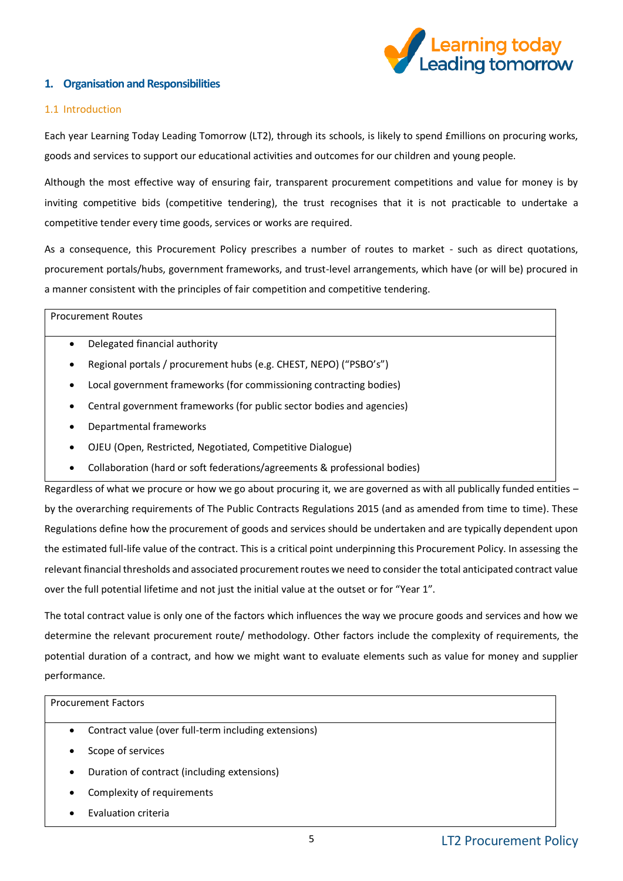

## <span id="page-4-0"></span>**1. Organisation and Responsibilities**

#### <span id="page-4-1"></span>1.1 Introduction

Each year Learning Today Leading Tomorrow (LT2), through its schools, is likely to spend £millions on procuring works, goods and services to support our educational activities and outcomes for our children and young people.

Although the most effective way of ensuring fair, transparent procurement competitions and value for money is by inviting competitive bids (competitive tendering), the trust recognises that it is not practicable to undertake a competitive tender every time goods, services or works are required.

As a consequence, this Procurement Policy prescribes a number of routes to market - such as direct quotations, procurement portals/hubs, government frameworks, and trust-level arrangements, which have (or will be) procured in a manner consistent with the principles of fair competition and competitive tendering.

#### Procurement Routes

- Delegated financial authority
- Regional portals / procurement hubs (e.g. CHEST, NEPO) ("PSBO's")
- Local government frameworks (for commissioning contracting bodies)
- Central government frameworks (for public sector bodies and agencies)
- Departmental frameworks
- OJEU (Open, Restricted, Negotiated, Competitive Dialogue)
- Collaboration (hard or soft federations/agreements & professional bodies)

Regardless of what we procure or how we go about procuring it, we are governed as with all publically funded entities – by the overarching requirements of The Public Contracts Regulations 2015 (and as amended from time to time). These Regulations define how the procurement of goods and services should be undertaken and are typically dependent upon the estimated full-life value of the contract. This is a critical point underpinning this Procurement Policy. In assessing the relevant financial thresholds and associated procurement routes we need to consider the total anticipated contract value over the full potential lifetime and not just the initial value at the outset or for "Year 1".

The total contract value is only one of the factors which influences the way we procure goods and services and how we determine the relevant procurement route/ methodology. Other factors include the complexity of requirements, the potential duration of a contract, and how we might want to evaluate elements such as value for money and supplier performance.

#### Procurement Factors

- Contract value (over full-term including extensions)
- Scope of services
- Duration of contract (including extensions)
- Complexity of requirements
- Evaluation criteria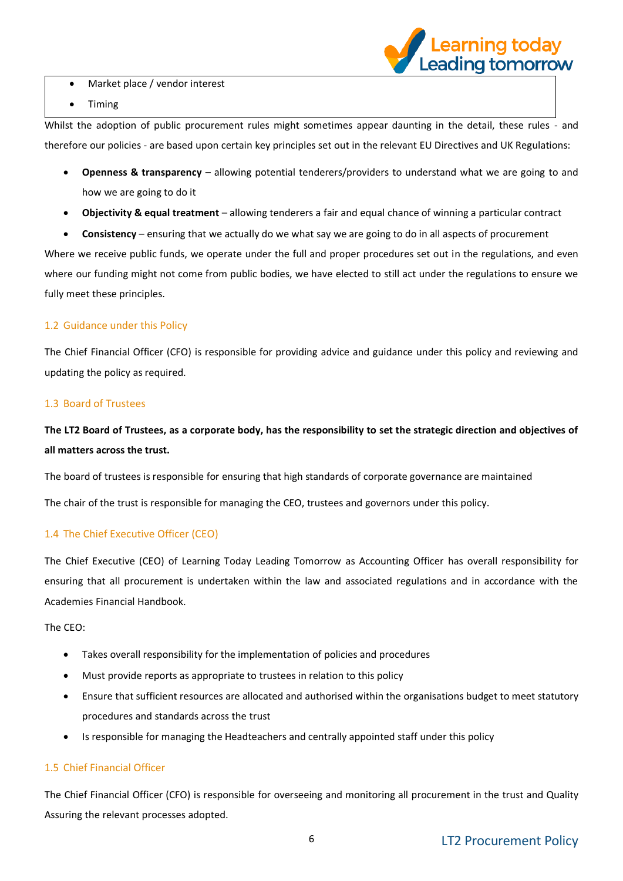

- Market place / vendor interest
- Timing

Whilst the adoption of public procurement rules might sometimes appear daunting in the detail, these rules - and therefore our policies - are based upon certain key principles set out in the relevant EU Directives and UK Regulations:

- **Openness & transparency** allowing potential tenderers/providers to understand what we are going to and how we are going to do it
- **Objectivity & equal treatment** allowing tenderers a fair and equal chance of winning a particular contract
- **Consistency**  ensuring that we actually do we what say we are going to do in all aspects of procurement

Where we receive public funds, we operate under the full and proper procedures set out in the regulations, and even where our funding might not come from public bodies, we have elected to still act under the regulations to ensure we fully meet these principles.

## <span id="page-5-0"></span>1.2 Guidance under this Policy

The Chief Financial Officer (CFO) is responsible for providing advice and guidance under this policy and reviewing and updating the policy as required.

## <span id="page-5-1"></span>1.3 Board of Trustees

**The LT2 Board of Trustees, as a corporate body, has the responsibility to set the strategic direction and objectives of all matters across the trust.**

The board of trustees is responsible for ensuring that high standards of corporate governance are maintained

The chair of the trust is responsible for managing the CEO, trustees and governors under this policy.

## <span id="page-5-2"></span>1.4 The Chief Executive Officer (CEO)

The Chief Executive (CEO) of Learning Today Leading Tomorrow as Accounting Officer has overall responsibility for ensuring that all procurement is undertaken within the law and associated regulations and in accordance with the Academies Financial Handbook.

The CEO:

- Takes overall responsibility for the implementation of policies and procedures
- Must provide reports as appropriate to trustees in relation to this policy
- Ensure that sufficient resources are allocated and authorised within the organisations budget to meet statutory procedures and standards across the trust
- Is responsible for managing the Headteachers and centrally appointed staff under this policy

## <span id="page-5-3"></span>1.5 Chief Financial Officer

The Chief Financial Officer (CFO) is responsible for overseeing and monitoring all procurement in the trust and Quality Assuring the relevant processes adopted.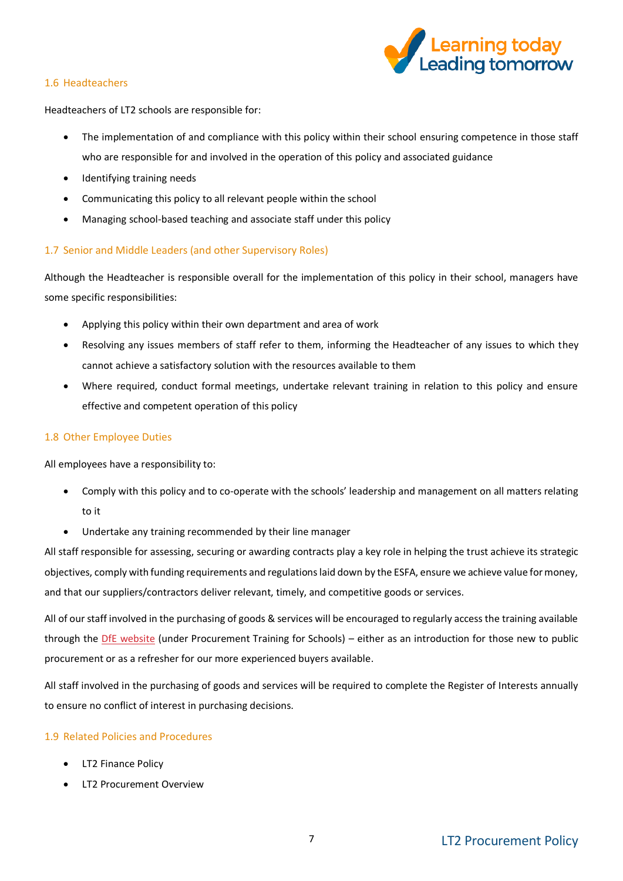

#### <span id="page-6-0"></span>1.6 Headteachers

Headteachers of LT2 schools are responsible for:

- The implementation of and compliance with this policy within their school ensuring competence in those staff who are responsible for and involved in the operation of this policy and associated guidance
- Identifying training needs
- Communicating this policy to all relevant people within the school
- Managing school-based teaching and associate staff under this policy

## <span id="page-6-1"></span>1.7 Senior and Middle Leaders (and other Supervisory Roles)

Although the Headteacher is responsible overall for the implementation of this policy in their school, managers have some specific responsibilities:

- Applying this policy within their own department and area of work
- Resolving any issues members of staff refer to them, informing the Headteacher of any issues to which they cannot achieve a satisfactory solution with the resources available to them
- Where required, conduct formal meetings, undertake relevant training in relation to this policy and ensure effective and competent operation of this policy

## <span id="page-6-2"></span>1.8 Other Employee Duties

All employees have a responsibility to:

- Comply with this policy and to co-operate with the schools' leadership and management on all matters relating to it
- Undertake any training recommended by their line manager

All staff responsible for assessing, securing or awarding contracts play a key role in helping the trust achieve its strategic objectives, comply with funding requirements and regulations laid down by the ESFA, ensure we achieve value for money, and that our suppliers/contractors deliver relevant, timely, and competitive goods or services.

All of our staff involved in the purchasing of goods & services will be encouraged to regularly access the training available through the [DfE website](https://www.gov.uk/guidance/buying-for-schools) (under Procurement Training for Schools) – either as an introduction for those new to public procurement or as a refresher for our more experienced buyers available.

All staff involved in the purchasing of goods and services will be required to complete the Register of Interests annually to ensure no conflict of interest in purchasing decisions.

## <span id="page-6-3"></span>1.9 Related Policies and Procedures

- LT2 Finance Policy
- LT2 Procurement Overview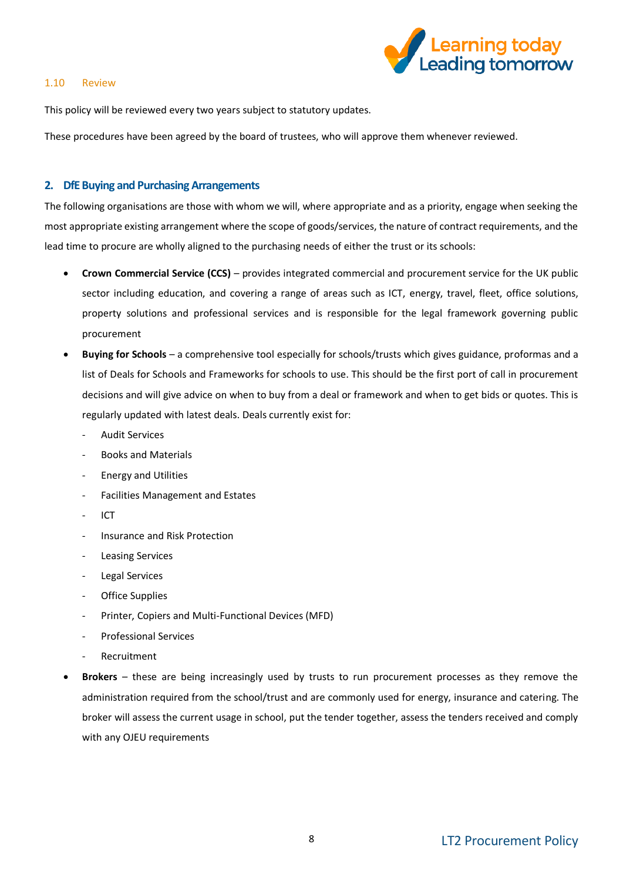

#### <span id="page-7-0"></span>1.10 Review

This policy will be reviewed every two years subject to statutory updates.

These procedures have been agreed by the board of trustees, who will approve them whenever reviewed.

#### <span id="page-7-1"></span>**2. DfE Buying and Purchasing Arrangements**

The following organisations are those with whom we will, where appropriate and as a priority, engage when seeking the most appropriate existing arrangement where the scope of goods/services, the nature of contract requirements, and the lead time to procure are wholly aligned to the purchasing needs of either the trust or its schools:

- **Crown Commercial Service (CCS)** provides integrated commercial and procurement service for the UK public sector including education, and covering a range of areas such as ICT, energy, travel, fleet, office solutions, property solutions and professional services and is responsible for the legal framework governing public procurement
- **Buying for Schools**  a comprehensive tool especially for schools/trusts which gives guidance, proformas and a list of Deals for Schools and Frameworks for schools to use. This should be the first port of call in procurement decisions and will give advice on when to buy from a deal or framework and when to get bids or quotes. This is regularly updated with latest deals. Deals currently exist for:
	- Audit Services
	- Books and Materials
	- Energy and Utilities
	- Facilities Management and Estates
	- ICT
	- Insurance and Risk Protection
	- Leasing Services
	- Legal Services
	- Office Supplies
	- Printer, Copiers and Multi-Functional Devices (MFD)
	- Professional Services
	- Recruitment
- **Brokers** these are being increasingly used by trusts to run procurement processes as they remove the administration required from the school/trust and are commonly used for energy, insurance and catering. The broker will assess the current usage in school, put the tender together, assess the tenders received and comply with any OJEU requirements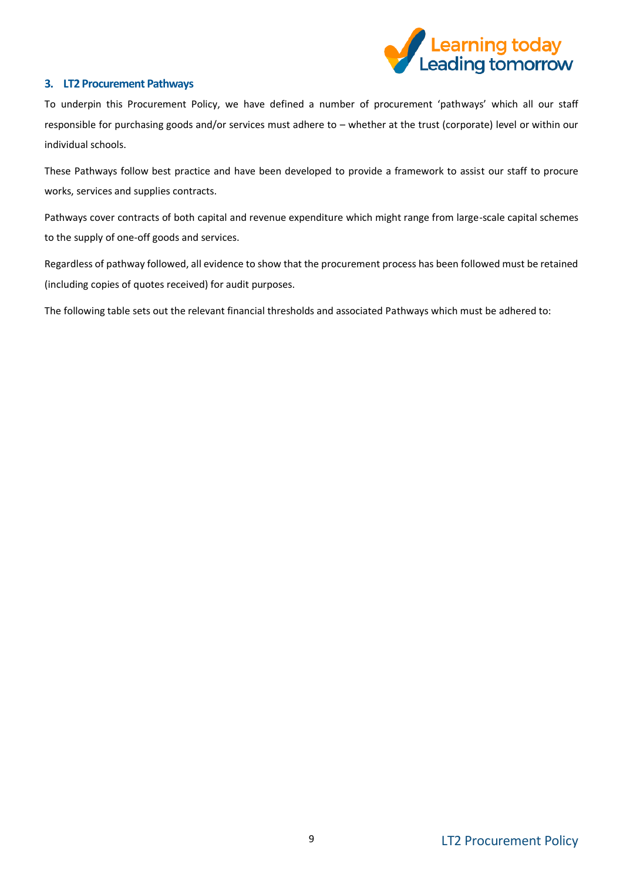

## <span id="page-8-0"></span>**3. LT2 Procurement Pathways**

To underpin this Procurement Policy, we have defined a number of procurement 'pathways' which all our staff responsible for purchasing goods and/or services must adhere to – whether at the trust (corporate) level or within our individual schools.

These Pathways follow best practice and have been developed to provide a framework to assist our staff to procure works, services and supplies contracts.

Pathways cover contracts of both capital and revenue expenditure which might range from large-scale capital schemes to the supply of one-off goods and services.

Regardless of pathway followed, all evidence to show that the procurement process has been followed must be retained (including copies of quotes received) for audit purposes.

The following table sets out the relevant financial thresholds and associated Pathways which must be adhered to: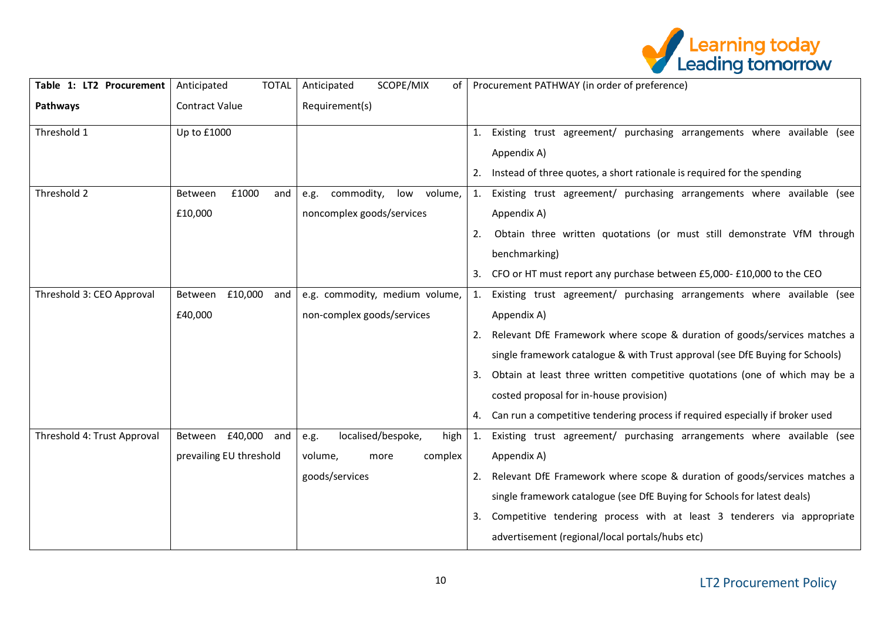

| Table 1: LT2 Procurement    | <b>TOTAL</b><br>Anticipated | SCOPE/MIX<br>Anticipated<br>of       | Procurement PATHWAY (in order of preference)                                      |
|-----------------------------|-----------------------------|--------------------------------------|-----------------------------------------------------------------------------------|
| Pathways                    | <b>Contract Value</b>       | Requirement(s)                       |                                                                                   |
| Threshold 1                 | Up to £1000                 |                                      | Existing trust agreement/ purchasing arrangements where available (see<br>1.      |
|                             |                             |                                      | Appendix A)                                                                       |
|                             |                             |                                      | 2. Instead of three quotes, a short rationale is required for the spending        |
| Threshold 2                 | £1000<br>Between<br>and     | commodity,<br>low<br>volume,<br>e.g. | Existing trust agreement/ purchasing arrangements where available (see<br>1.      |
|                             | £10,000                     | noncomplex goods/services            | Appendix A)                                                                       |
|                             |                             |                                      | Obtain three written quotations (or must still demonstrate VfM through<br>2.      |
|                             |                             |                                      | benchmarking)                                                                     |
|                             |                             |                                      | CFO or HT must report any purchase between £5,000- £10,000 to the CEO<br>3.       |
| Threshold 3: CEO Approval   | £10,000<br>Between<br>and   | e.g. commodity, medium volume,       | Existing trust agreement/ purchasing arrangements where available (see<br>1.      |
|                             | £40,000                     | non-complex goods/services           | Appendix A)                                                                       |
|                             |                             |                                      | Relevant DfE Framework where scope & duration of goods/services matches a         |
|                             |                             |                                      | single framework catalogue & with Trust approval (see DfE Buying for Schools)     |
|                             |                             |                                      | Obtain at least three written competitive quotations (one of which may be a<br>3. |
|                             |                             |                                      | costed proposal for in-house provision)                                           |
|                             |                             |                                      | 4. Can run a competitive tendering process if required especially if broker used  |
| Threshold 4: Trust Approval | Between £40,000<br>and      | localised/bespoke,<br>high<br>e.g.   | 1. Existing trust agreement/ purchasing arrangements where available (see         |
|                             | prevailing EU threshold     | volume,<br>complex<br>more           | Appendix A)                                                                       |
|                             |                             | goods/services                       | Relevant DfE Framework where scope & duration of goods/services matches a<br>2.   |
|                             |                             |                                      | single framework catalogue (see DfE Buying for Schools for latest deals)          |
|                             |                             |                                      | Competitive tendering process with at least 3 tenderers via appropriate<br>3.     |
|                             |                             |                                      | advertisement (regional/local portals/hubs etc)                                   |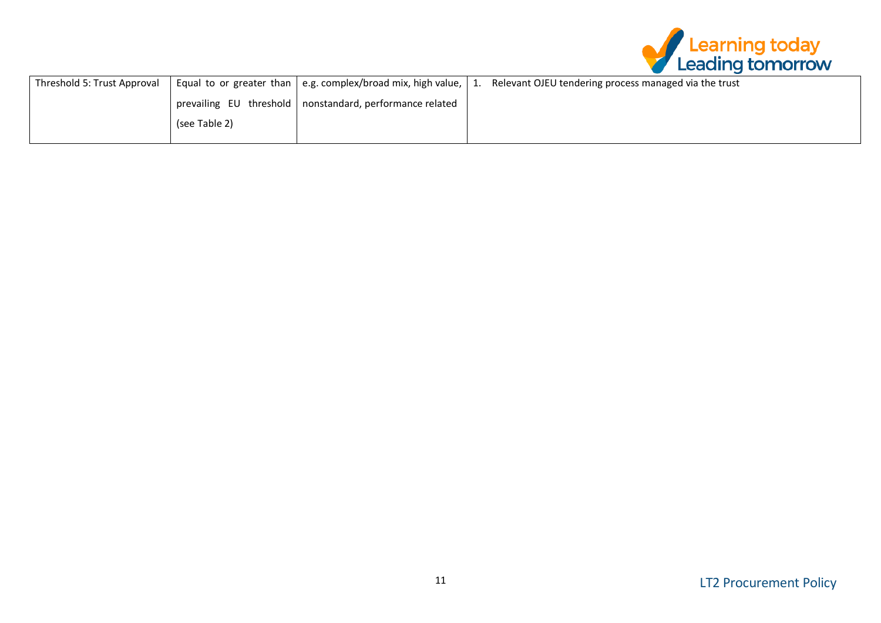

| Threshold 5: Trust Approval |               | Equal to or greater than   e.g. complex/broad mix, high value, | Relevant OJEU tendering process managed via the trust |
|-----------------------------|---------------|----------------------------------------------------------------|-------------------------------------------------------|
|                             |               | prevailing EU threshold   nonstandard, performance related     |                                                       |
|                             | (see Table 2) |                                                                |                                                       |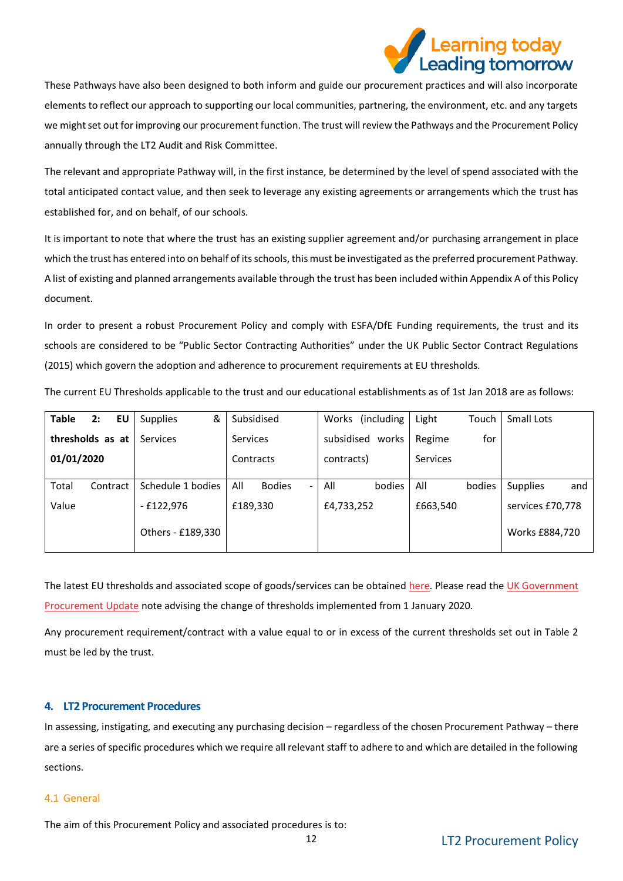

These Pathways have also been designed to both inform and guide our procurement practices and will also incorporate elements to reflect our approach to supporting our local communities, partnering, the environment, etc. and any targets we might set out for improving our procurement function. The trust will review the Pathways and the Procurement Policy annually through the LT2 Audit and Risk Committee.

The relevant and appropriate Pathway will, in the first instance, be determined by the level of spend associated with the total anticipated contact value, and then seek to leverage any existing agreements or arrangements which the trust has established for, and on behalf, of our schools.

It is important to note that where the trust has an existing supplier agreement and/or purchasing arrangement in place which the trust has entered into on behalf of its schools, this must be investigated as the preferred procurement Pathway. A list of existing and planned arrangements available through the trust has been included within Appendix A of this Policy document.

In order to present a robust Procurement Policy and comply with ESFA/DfE Funding requirements, the trust and its schools are considered to be "Public Sector Contracting Authorities" under the UK Public Sector Contract Regulations (2015) which govern the adoption and adherence to procurement requirements at EU thresholds.

| The current EU Thresholds applicable to the trust and our educational establishments as of 1st Jan 2018 are as follows: |  |
|-------------------------------------------------------------------------------------------------------------------------|--|
|-------------------------------------------------------------------------------------------------------------------------|--|

| <b>Table</b>     | 2:       | EU | &<br><b>Supplies</b> |           | Subsidised                      | Works      | (including)         | Light           | Touch                        | Small Lots      |     |
|------------------|----------|----|----------------------|-----------|---------------------------------|------------|---------------------|-----------------|------------------------------|-----------------|-----|
| thresholds as at |          |    | <b>Services</b>      |           | <b>Services</b>                 |            | subsidised<br>works | Regime          | for                          |                 |     |
| 01/01/2020       |          |    |                      | Contracts |                                 | contracts) |                     | <b>Services</b> |                              |                 |     |
| Total            | Contract |    | Schedule 1 bodies    | All       | <b>Bodies</b><br>$\blacksquare$ | All        | bodies              | All             | bodies                       | <b>Supplies</b> | and |
| Value            |          |    | - £122,976           |           | £189,330                        |            | £4,733,252          |                 | £663,540<br>services £70,778 |                 |     |
|                  |          |    | Others - £189,330    |           |                                 |            |                     |                 |                              | Works £884,720  |     |

The latest EU thresholds and associated scope of goods/services can be obtained [here.](https://www.ojeu.eu/thresholds.aspx) Please read the UK Government [Procurement Update](https://www.gov.uk/government/publications/procurement-policy-note-new-thresholds-2020) note advising the change of thresholds implemented from 1 January 2020.

Any procurement requirement/contract with a value equal to or in excess of the current thresholds set out in Table 2 must be led by the trust.

## <span id="page-11-0"></span>**4. LT2 Procurement Procedures**

In assessing, instigating, and executing any purchasing decision – regardless of the chosen Procurement Pathway – there are a series of specific procedures which we require all relevant staff to adhere to and which are detailed in the following sections.

#### <span id="page-11-1"></span>4.1 General

The aim of this Procurement Policy and associated procedures is to: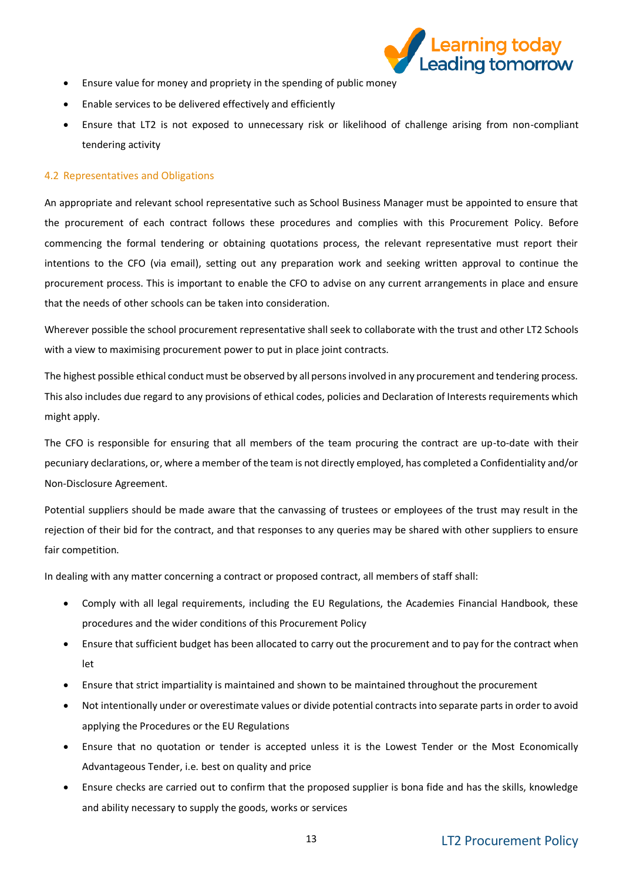

- Ensure value for money and propriety in the spending of public money
- Enable services to be delivered effectively and efficiently
- Ensure that LT2 is not exposed to unnecessary risk or likelihood of challenge arising from non-compliant tendering activity

#### <span id="page-12-0"></span>4.2 Representatives and Obligations

An appropriate and relevant school representative such as School Business Manager must be appointed to ensure that the procurement of each contract follows these procedures and complies with this Procurement Policy. Before commencing the formal tendering or obtaining quotations process, the relevant representative must report their intentions to the CFO (via email), setting out any preparation work and seeking written approval to continue the procurement process. This is important to enable the CFO to advise on any current arrangements in place and ensure that the needs of other schools can be taken into consideration.

Wherever possible the school procurement representative shall seek to collaborate with the trust and other LT2 Schools with a view to maximising procurement power to put in place joint contracts.

The highest possible ethical conduct must be observed by all persons involved in any procurement and tendering process. This also includes due regard to any provisions of ethical codes, policies and Declaration of Interests requirements which might apply.

The CFO is responsible for ensuring that all members of the team procuring the contract are up-to-date with their pecuniary declarations, or, where a member of the team is not directly employed, has completed a Confidentiality and/or Non-Disclosure Agreement.

Potential suppliers should be made aware that the canvassing of trustees or employees of the trust may result in the rejection of their bid for the contract, and that responses to any queries may be shared with other suppliers to ensure fair competition.

In dealing with any matter concerning a contract or proposed contract, all members of staff shall:

- Comply with all legal requirements, including the EU Regulations, the Academies Financial Handbook, these procedures and the wider conditions of this Procurement Policy
- Ensure that sufficient budget has been allocated to carry out the procurement and to pay for the contract when let
- Ensure that strict impartiality is maintained and shown to be maintained throughout the procurement
- Not intentionally under or overestimate values or divide potential contracts into separate parts in order to avoid applying the Procedures or the EU Regulations
- Ensure that no quotation or tender is accepted unless it is the Lowest Tender or the Most Economically Advantageous Tender, i.e. best on quality and price
- Ensure checks are carried out to confirm that the proposed supplier is bona fide and has the skills, knowledge and ability necessary to supply the goods, works or services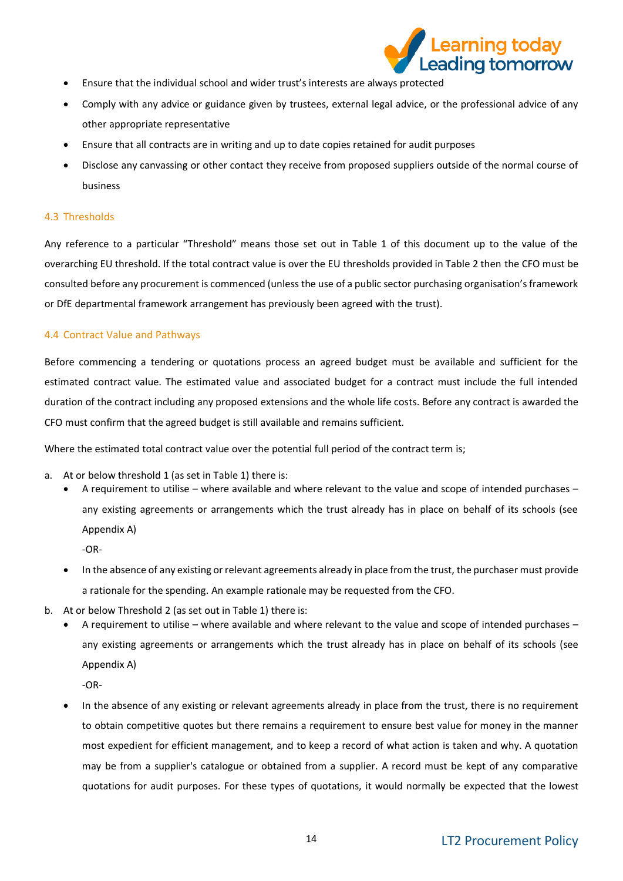

- Ensure that the individual school and wider trust's interests are always protected
- Comply with any advice or guidance given by trustees, external legal advice, or the professional advice of any other appropriate representative
- Ensure that all contracts are in writing and up to date copies retained for audit purposes
- Disclose any canvassing or other contact they receive from proposed suppliers outside of the normal course of business

#### <span id="page-13-0"></span>4.3 Thresholds

Any reference to a particular "Threshold" means those set out in Table 1 of this document up to the value of the overarching EU threshold. If the total contract value is over the EU thresholds provided in Table 2 then the CFO must be consulted before any procurement is commenced (unless the use of a public sector purchasing organisation's framework or DfE departmental framework arrangement has previously been agreed with the trust).

#### <span id="page-13-1"></span>4.4 Contract Value and Pathways

Before commencing a tendering or quotations process an agreed budget must be available and sufficient for the estimated contract value. The estimated value and associated budget for a contract must include the full intended duration of the contract including any proposed extensions and the whole life costs. Before any contract is awarded the CFO must confirm that the agreed budget is still available and remains sufficient.

Where the estimated total contract value over the potential full period of the contract term is;

- a. At or below threshold 1 (as set in Table 1) there is:
	- A requirement to utilise where available and where relevant to the value and scope of intended purchases any existing agreements or arrangements which the trust already has in place on behalf of its schools (see Appendix A)

-OR-

- In the absence of any existing or relevant agreements already in place from the trust, the purchaser must provide a rationale for the spending. An example rationale may be requested from the CFO.
- b. At or below Threshold 2 (as set out in Table 1) there is:
	- A requirement to utilise where available and where relevant to the value and scope of intended purchases any existing agreements or arrangements which the trust already has in place on behalf of its schools (see Appendix A)

-OR-

• In the absence of any existing or relevant agreements already in place from the trust, there is no requirement to obtain competitive quotes but there remains a requirement to ensure best value for money in the manner most expedient for efficient management, and to keep a record of what action is taken and why. A quotation may be from a supplier's catalogue or obtained from a supplier. A record must be kept of any comparative quotations for audit purposes. For these types of quotations, it would normally be expected that the lowest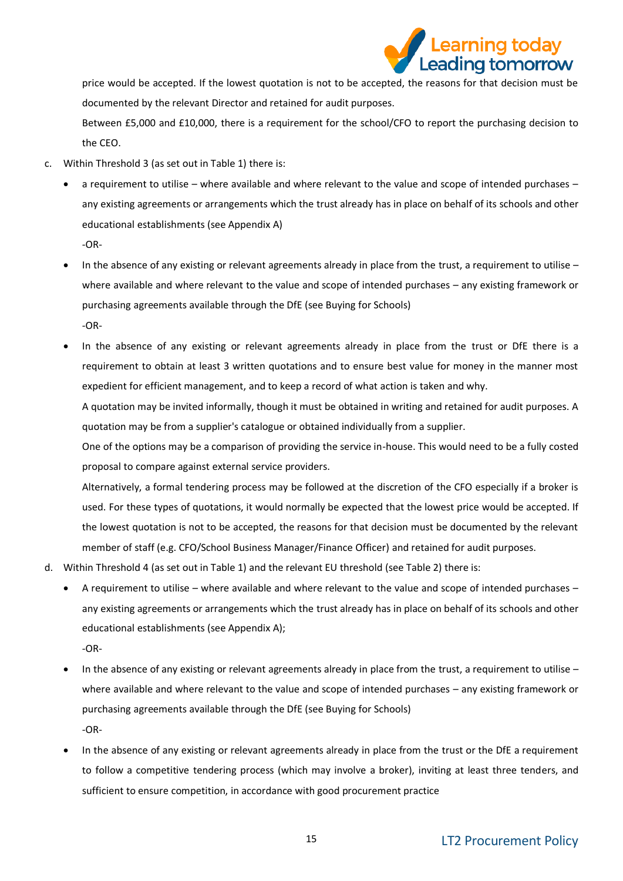

price would be accepted. If the lowest quotation is not to be accepted, the reasons for that decision must be documented by the relevant Director and retained for audit purposes.

Between £5,000 and £10,000, there is a requirement for the school/CFO to report the purchasing decision to the CEO.

- c. Within Threshold 3 (as set out in Table 1) there is:
	- a requirement to utilise where available and where relevant to the value and scope of intended purchases any existing agreements or arrangements which the trust already has in place on behalf of its schools and other educational establishments (see Appendix A) -OR-
	- In the absence of any existing or relevant agreements already in place from the trust, a requirement to utilise where available and where relevant to the value and scope of intended purchases – any existing framework or purchasing agreements available through the DfE (see Buying for Schools) -OR-
	- In the absence of any existing or relevant agreements already in place from the trust or DfE there is a requirement to obtain at least 3 written quotations and to ensure best value for money in the manner most expedient for efficient management, and to keep a record of what action is taken and why.

A quotation may be invited informally, though it must be obtained in writing and retained for audit purposes. A quotation may be from a supplier's catalogue or obtained individually from a supplier.

One of the options may be a comparison of providing the service in-house. This would need to be a fully costed proposal to compare against external service providers.

Alternatively, a formal tendering process may be followed at the discretion of the CFO especially if a broker is used. For these types of quotations, it would normally be expected that the lowest price would be accepted. If the lowest quotation is not to be accepted, the reasons for that decision must be documented by the relevant member of staff (e.g. CFO/School Business Manager/Finance Officer) and retained for audit purposes.

- d. Within Threshold 4 (as set out in Table 1) and the relevant EU threshold (see Table 2) there is:
	- A requirement to utilise where available and where relevant to the value and scope of intended purchases any existing agreements or arrangements which the trust already has in place on behalf of its schools and other educational establishments (see Appendix A);

-OR-

- In the absence of any existing or relevant agreements already in place from the trust, a requirement to utilise where available and where relevant to the value and scope of intended purchases – any existing framework or purchasing agreements available through the DfE (see Buying for Schools) -OR-
- In the absence of any existing or relevant agreements already in place from the trust or the DfE a requirement to follow a competitive tendering process (which may involve a broker), inviting at least three tenders, and sufficient to ensure competition, in accordance with good procurement practice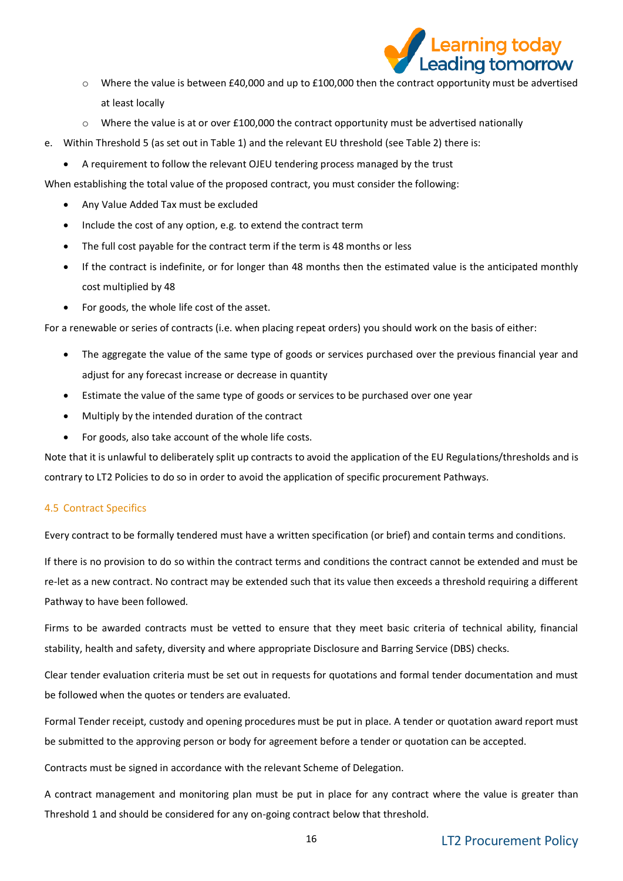

- o Where the value is between £40,000 and up to £100,000 then the contract opportunity must be advertised at least locally
- $\circ$  Where the value is at or over £100,000 the contract opportunity must be advertised nationally
- e. Within Threshold 5 (as set out in Table 1) and the relevant EU threshold (see Table 2) there is:
	- A requirement to follow the relevant OJEU tendering process managed by the trust

When establishing the total value of the proposed contract, you must consider the following:

- Any Value Added Tax must be excluded
- Include the cost of any option, e.g. to extend the contract term
- The full cost payable for the contract term if the term is 48 months or less
- If the contract is indefinite, or for longer than 48 months then the estimated value is the anticipated monthly cost multiplied by 48
- For goods, the whole life cost of the asset.

For a renewable or series of contracts (i.e. when placing repeat orders) you should work on the basis of either:

- The aggregate the value of the same type of goods or services purchased over the previous financial year and adjust for any forecast increase or decrease in quantity
- Estimate the value of the same type of goods or services to be purchased over one year
- Multiply by the intended duration of the contract
- For goods, also take account of the whole life costs.

Note that it is unlawful to deliberately split up contracts to avoid the application of the EU Regulations/thresholds and is contrary to LT2 Policies to do so in order to avoid the application of specific procurement Pathways.

## <span id="page-15-0"></span>4.5 Contract Specifics

Every contract to be formally tendered must have a written specification (or brief) and contain terms and conditions.

If there is no provision to do so within the contract terms and conditions the contract cannot be extended and must be re-let as a new contract. No contract may be extended such that its value then exceeds a threshold requiring a different Pathway to have been followed.

Firms to be awarded contracts must be vetted to ensure that they meet basic criteria of technical ability, financial stability, health and safety, diversity and where appropriate Disclosure and Barring Service (DBS) checks.

Clear tender evaluation criteria must be set out in requests for quotations and formal tender documentation and must be followed when the quotes or tenders are evaluated.

Formal Tender receipt, custody and opening procedures must be put in place. A tender or quotation award report must be submitted to the approving person or body for agreement before a tender or quotation can be accepted.

Contracts must be signed in accordance with the relevant Scheme of Delegation.

A contract management and monitoring plan must be put in place for any contract where the value is greater than Threshold 1 and should be considered for any on-going contract below that threshold.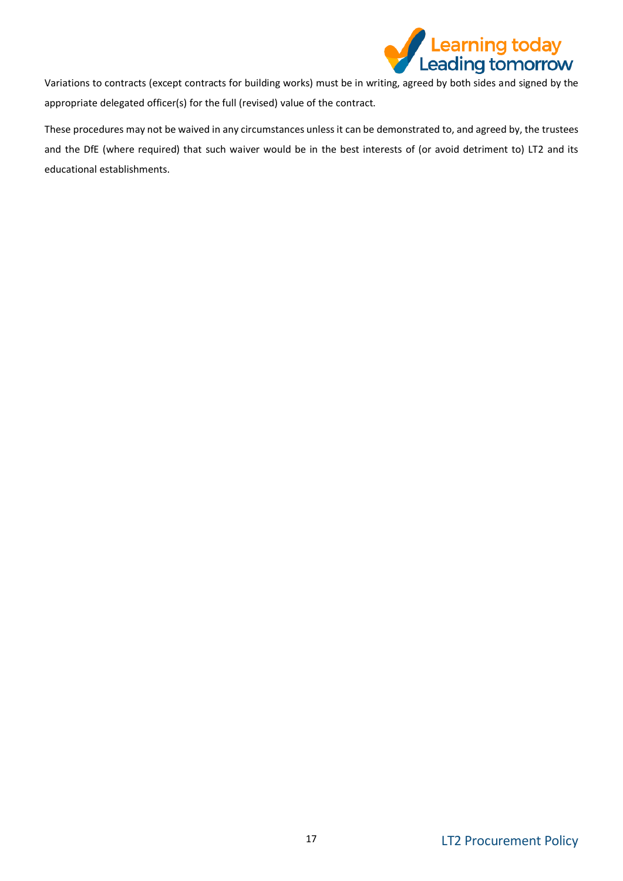

Variations to contracts (except contracts for building works) must be in writing, agreed by both sides and signed by the appropriate delegated officer(s) for the full (revised) value of the contract.

These procedures may not be waived in any circumstances unless it can be demonstrated to, and agreed by, the trustees and the DfE (where required) that such waiver would be in the best interests of (or avoid detriment to) LT2 and its educational establishments.